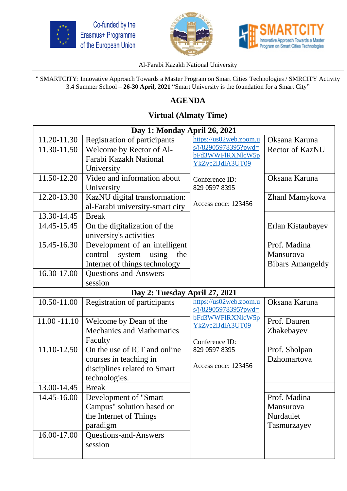





## Al-Farabi Kazakh National University

" SMARTCITY: Innovative Approach Towards a Master Program on Smart Cities Technologies / SMRCITY Activity 3.4 Summer School – **26-30 April, 2021** "Smart University is the foundation for a Smart City"

## **AGENDA**

## **Virtual (Almaty Time)**

| Day 1: Monday April 26, 2021  |                                     |                                            |                         |  |  |
|-------------------------------|-------------------------------------|--------------------------------------------|-------------------------|--|--|
| 11.20-11.30                   | <b>Registration of participants</b> | https://us02web.zoom.u                     | Oksana Karuna           |  |  |
| 11.30-11.50                   | Welcome by Rector of Al-            | $s/i/82905978395?pwd=$                     | <b>Rector of KazNU</b>  |  |  |
|                               | Farabi Kazakh National              | bFd3WWFlRXNlcW5p<br>YkZvc2lJdlA3UT09       |                         |  |  |
|                               | University                          |                                            |                         |  |  |
| 11.50-12.20                   | Video and information about         | Conference ID:                             | Oksana Karuna           |  |  |
|                               | University                          | 829 0597 8395                              |                         |  |  |
| 12.20-13.30                   | KazNU digital transformation:       | Access code: 123456                        | Zhanl Mamykova          |  |  |
|                               | al-Farabi university-smart city     |                                            |                         |  |  |
| 13.30-14.45                   | <b>Break</b>                        |                                            |                         |  |  |
| 14.45-15.45                   | On the digitalization of the        |                                            | Erlan Kistaubayev       |  |  |
|                               | university's activities             |                                            |                         |  |  |
| 15.45-16.30                   | Development of an intelligent       |                                            | Prof. Madina            |  |  |
|                               | system<br>using the<br>control      |                                            | Mansurova               |  |  |
|                               | Internet of things technology       |                                            | <b>Bibars Amangeldy</b> |  |  |
| 16.30-17.00                   | <b>Questions-and-Answers</b>        |                                            |                         |  |  |
|                               | session                             |                                            |                         |  |  |
| Day 2: Tuesday April 27, 2021 |                                     |                                            |                         |  |  |
| 10.50-11.00                   | <b>Registration of participants</b> | https://us02web.zoom.u                     | Oksana Karuna           |  |  |
|                               |                                     | $s/i/82905978395?pwd=$<br>bFd3WWFlRXNlcW5p |                         |  |  |
| $11.00 - 11.10$               | Welcome by Dean of the              | YkZvc2lJdlA3UT09                           | Prof. Dauren            |  |  |
|                               | <b>Mechanics and Mathematics</b>    |                                            | Zhakebayev              |  |  |
|                               | Faculty                             | Conference ID:                             |                         |  |  |
| 11.10-12.50                   | On the use of ICT and online        | 829 0597 8395                              | Prof. Sholpan           |  |  |
|                               | courses in teaching in              | Access code: 123456                        | Dzhomartova             |  |  |
|                               | disciplines related to Smart        |                                            |                         |  |  |
|                               | technologies.                       |                                            |                         |  |  |
| 13.00-14.45                   | <b>Break</b>                        |                                            |                         |  |  |
| 14.45-16.00                   | Development of "Smart               |                                            | Prof. Madina            |  |  |
|                               | Campus" solution based on           |                                            | Mansurova               |  |  |
|                               | the Internet of Things              |                                            | Nurdaulet               |  |  |
|                               | paradigm                            |                                            | Tasmurzayev             |  |  |
| 16.00-17.00                   | <b>Questions-and-Answers</b>        |                                            |                         |  |  |
|                               |                                     |                                            |                         |  |  |
|                               | session                             |                                            |                         |  |  |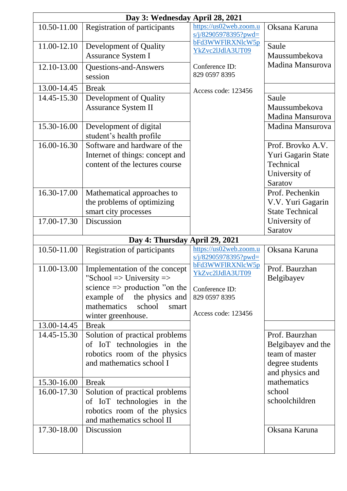|                                | Day 3: Wednesday April 28, 2021                                                                                                                                                                                   |                                                                                                |                                                                                              |  |  |  |
|--------------------------------|-------------------------------------------------------------------------------------------------------------------------------------------------------------------------------------------------------------------|------------------------------------------------------------------------------------------------|----------------------------------------------------------------------------------------------|--|--|--|
| 10.50-11.00                    | <b>Registration of participants</b>                                                                                                                                                                               | https://us02web.zoom.u<br>$s/i/82905978395?pwd=$                                               | Oksana Karuna                                                                                |  |  |  |
| 11.00-12.10                    | Development of Quality<br>Assurance System I                                                                                                                                                                      | bFd3WWFlRXNlcW5p<br>YkZvc2lJdlA3UT09                                                           | Saule<br>Maussumbekova                                                                       |  |  |  |
| 12.10-13.00                    | <b>Questions-and-Answers</b><br>session                                                                                                                                                                           | Conference ID:<br>829 0597 8395                                                                | Madina Mansurova                                                                             |  |  |  |
| 13.00-14.45                    | <b>Break</b>                                                                                                                                                                                                      | Access code: 123456                                                                            |                                                                                              |  |  |  |
| 14.45-15.30                    | Development of Quality                                                                                                                                                                                            |                                                                                                | Saule                                                                                        |  |  |  |
|                                | <b>Assurance System II</b>                                                                                                                                                                                        |                                                                                                | Maussumbekova<br>Madina Mansurova                                                            |  |  |  |
| 15.30-16.00                    | Development of digital<br>student's health profile                                                                                                                                                                |                                                                                                | Madina Mansurova                                                                             |  |  |  |
| 16.00-16.30                    | Software and hardware of the<br>Internet of things: concept and<br>content of the lectures course                                                                                                                 |                                                                                                | Prof. Brovko A.V.<br>Yuri Gagarin State<br>Technical<br>University of<br>Saratov             |  |  |  |
| 16.30-17.00                    | Mathematical approaches to<br>the problems of optimizing<br>smart city processes                                                                                                                                  |                                                                                                | Prof. Pechenkin<br>V.V. Yuri Gagarin<br><b>State Technical</b>                               |  |  |  |
| $\overline{17.00}$ -17.30      | Discussion                                                                                                                                                                                                        |                                                                                                | University of<br>Saratov                                                                     |  |  |  |
| Day 4: Thursday April 29, 2021 |                                                                                                                                                                                                                   |                                                                                                |                                                                                              |  |  |  |
|                                |                                                                                                                                                                                                                   |                                                                                                |                                                                                              |  |  |  |
| 10.50-11.00                    | <b>Registration of participants</b>                                                                                                                                                                               | https://us02web.zoom.u<br>s/j/82905978395?pwd=                                                 | Oksana Karuna                                                                                |  |  |  |
| 11.00-13.00                    | Implementation of the concept<br>"School $\Rightarrow$ University $\Rightarrow$<br>science $\Rightarrow$ production "on the<br>example of the physics and<br>mathematics<br>school<br>smart<br>winter greenhouse. | bFd3WWFlRXNlcW5p<br>YkZvc2lJdlA3UT09<br>Conference ID:<br>829 0597 8395<br>Access code: 123456 | Prof. Baurzhan<br>Belgibayev                                                                 |  |  |  |
| 13.00-14.45                    | <b>Break</b>                                                                                                                                                                                                      |                                                                                                |                                                                                              |  |  |  |
| 14.45-15.30                    | Solution of practical problems<br>of IoT technologies in the<br>robotics room of the physics<br>and mathematics school I                                                                                          |                                                                                                | Prof. Baurzhan<br>Belgibayev and the<br>team of master<br>degree students<br>and physics and |  |  |  |
| 15.30-16.00                    | <b>Break</b>                                                                                                                                                                                                      |                                                                                                | mathematics                                                                                  |  |  |  |
| 16.00-17.30                    | Solution of practical problems<br>of IoT technologies in the<br>robotics room of the physics<br>and mathematics school II                                                                                         |                                                                                                | school<br>schoolchildren                                                                     |  |  |  |
| 17.30-18.00                    | Discussion                                                                                                                                                                                                        |                                                                                                | Oksana Karuna                                                                                |  |  |  |